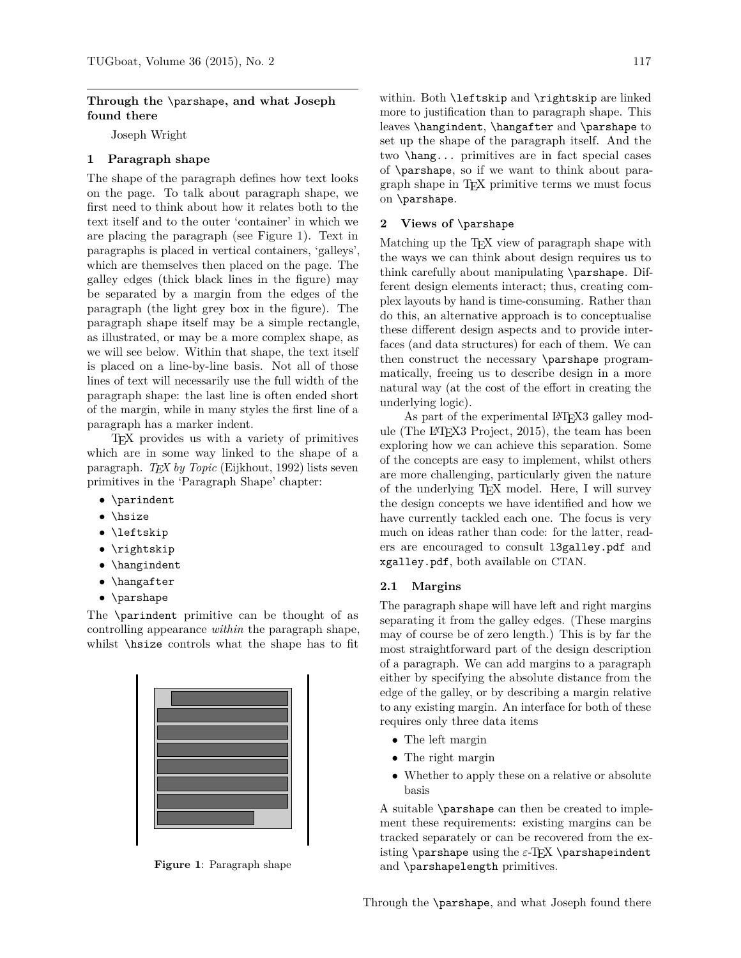#### **Through the** \parshape**, and what Joseph found there**

Joseph Wright

### **1 Paragraph shape**

The shape of the paragraph defines how text looks on the page. To talk about paragraph shape, we first need to think about how it relates both to the text itself and to the outer 'container' in which we are placing the paragraph (see Figure [1\)](#page-0-0). Text in paragraphs is placed in vertical containers, 'galleys', which are themselves then placed on the page. The galley edges (thick black lines in the figure) may be separated by a margin from the edges of the paragraph (the light grey box in the figure). The paragraph shape itself may be a simple rectangle, as illustrated, or may be a more complex shape, as we will see below. Within that shape, the text itself is placed on a line-by-line basis. Not all of those lines of text will necessarily use the full width of the paragraph shape: the last line is often ended short of the margin, while in many styles the first line of a paragraph has a marker indent.

TEX provides us with a variety of primitives which are in some way linked to the shape of a paragraph. *TEX by Topic* [\(Eijkhout, 1992\)](#page-1-0) lists seven primitives in the 'Paragraph Shape' chapter:

- \parindent
- \hsize
- \leftskip
- \rightskip
- \hangindent
- \hangafter
- \parshape

The \parindent primitive can be thought of as controlling appearance *within* the paragraph shape, whilst \hsize controls what the shape has to fit



<span id="page-0-0"></span>**Figure 1**: Paragraph shape

within. Both \leftskip and \rightskip are linked more to justification than to paragraph shape. This leaves \hangindent, \hangafter and \parshape to set up the shape of the paragraph itself. And the two \hang... primitives are in fact special cases of \parshape, so if we want to think about paragraph shape in TEX primitive terms we must focus on \parshape.

#### **2 Views of** \parshape

Matching up the T<sub>EX</sub> view of paragraph shape with the ways we can think about design requires us to think carefully about manipulating \parshape. Different design elements interact; thus, creating complex layouts by hand is time-consuming. Rather than do this, an alternative approach is to conceptualise these different design aspects and to provide interfaces (and data structures) for each of them. We can then construct the necessary \parshape programmatically, freeing us to describe design in a more natural way (at the cost of the effort in creating the underlying logic).

As part of the experimental LAT<sub>E</sub>X<sub>3</sub> galley module (The LA[TEX3 Project, 2015\)](#page-1-1), the team has been exploring how we can achieve this separation. Some of the concepts are easy to implement, whilst others are more challenging, particularly given the nature of the underlying TEX model. Here, I will survey the design concepts we have identified and how we have currently tackled each one. The focus is very much on ideas rather than code: for the latter, readers are encouraged to consult l3galley.pdf and xgalley.pdf, both available on CTAN.

#### **2.1 Margins**

The paragraph shape will have left and right margins separating it from the galley edges. (These margins may of course be of zero length.) This is by far the most straightforward part of the design description of a paragraph. We can add margins to a paragraph either by specifying the absolute distance from the edge of the galley, or by describing a margin relative to any existing margin. An interface for both of these requires only three data items

- The left margin
- The right margin
- Whether to apply these on a relative or absolute basis

A suitable \parshape can then be created to implement these requirements: existing margins can be tracked separately or can be recovered from the existing \parshape using the *ε*-T<sub>E</sub>X \parshapeindent and \parshapelength primitives.